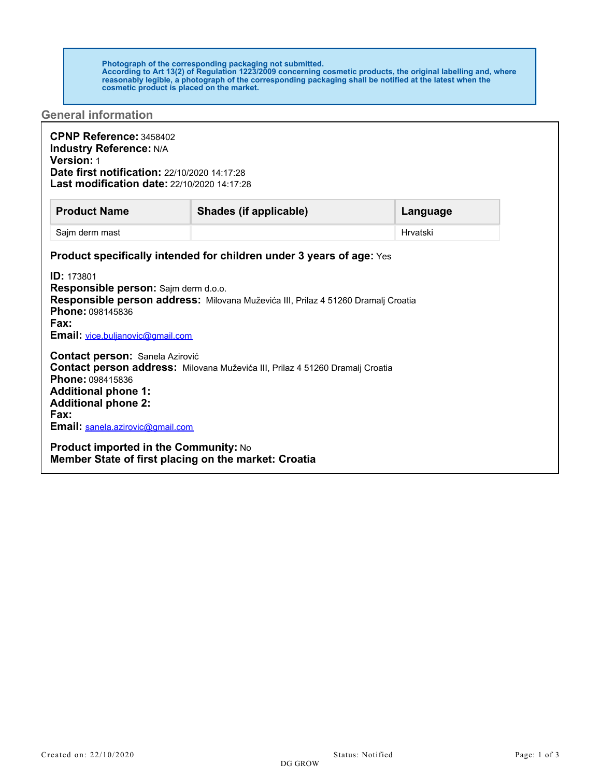## **Photograph of the corresponding packaging not submitted. According to Art 13(2) of Regulation 1223/2009 concerning cosmetic products, the original labelling and, where reasonably legible, a photograph of the corresponding packaging shall be notified at the latest when the cosmetic product is placed on the market.**

## **General information**

| CPNP Reference: 3458402<br><b>Industry Reference: N/A</b><br><b>Version: 1</b><br>Date first notification: 22/10/2020 14:17:28<br><b>Last modification date: 22/10/2020 14:17:28</b>                                                                                       |                                                                                                                                                                  |          |
|----------------------------------------------------------------------------------------------------------------------------------------------------------------------------------------------------------------------------------------------------------------------------|------------------------------------------------------------------------------------------------------------------------------------------------------------------|----------|
| <b>Product Name</b>                                                                                                                                                                                                                                                        | Shades (if applicable)                                                                                                                                           | Language |
| Sajm derm mast                                                                                                                                                                                                                                                             |                                                                                                                                                                  | Hrvatski |
| <b>ID: 173801</b><br>Responsible person: Sajm derm d.o.o.<br>Phone: 098145836<br>Fax:<br>Email: vice.buljanovic@gmail.com                                                                                                                                                  | <b>Product specifically intended for children under 3 years of age:</b> Yes<br>Responsible person address: Milovana Muževića III, Prilaz 4 51260 Dramalj Croatia |          |
| <b>Contact person: Sanela Azirović</b><br>Phone: 098415836<br><b>Additional phone 1:</b><br><b>Additional phone 2:</b><br>Fax:<br>Email: sanela.azirovic@gmail.com<br><b>Product imported in the Community: No</b><br>Member State of first placing on the market: Croatia | Contact person address: Milovana Muževića III, Prilaz 4 51260 Dramalj Croatia                                                                                    |          |